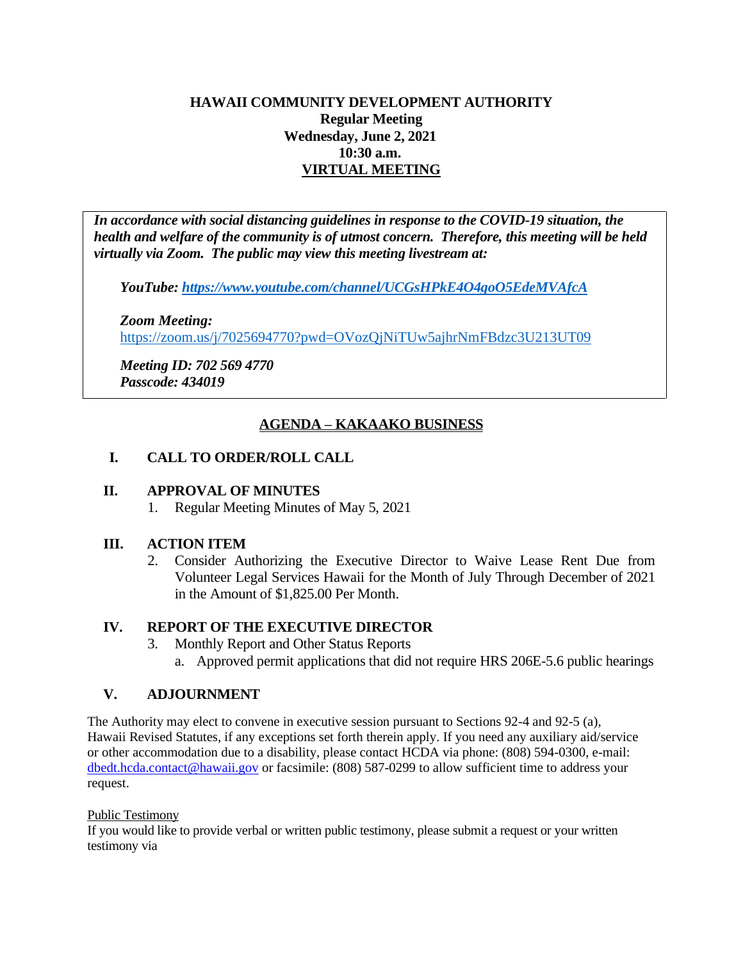## **HAWAII COMMUNITY DEVELOPMENT AUTHORITY Regular Meeting Wednesday, June 2, 2021 10:30 a.m. VIRTUAL MEETING**

*In accordance with social distancing guidelines in response to the COVID-19 situation, the health and welfare of the community is of utmost concern. Therefore, this meeting will be held virtually via Zoom. The public may view this meeting livestream at:* 

*YouTube:<https://www.youtube.com/channel/UCGsHPkE4O4goO5EdeMVAfcA>*

*Zoom Meeting:* 

<https://zoom.us/j/7025694770?pwd=OVozQjNiTUw5ajhrNmFBdzc3U213UT09>

*Meeting ID: 702 569 4770 Passcode: 434019*

# **AGENDA – KAKAAKO BUSINESS**

## **I. CALL TO ORDER/ROLL CALL**

#### **II. APPROVAL OF MINUTES**

1. Regular Meeting Minutes of May 5, 2021

#### **III. ACTION ITEM**

2. Consider Authorizing the Executive Director to Waive Lease Rent Due from Volunteer Legal Services Hawaii for the Month of July Through December of 2021 in the Amount of \$1,825.00 Per Month.

#### **IV. REPORT OF THE EXECUTIVE DIRECTOR**

- 3. Monthly Report and Other Status Reports
	- a. Approved permit applications that did not require HRS 206E-5.6 public hearings

#### **V. ADJOURNMENT**

The Authority may elect to convene in executive session pursuant to Sections 92-4 and 92-5 (a), Hawaii Revised Statutes, if any exceptions set forth therein apply. If you need any auxiliary aid/service or other accommodation due to a disability, please contact HCDA via phone: (808) 594-0300, e-mail: dbedt.hcda.contact@hawaii.gov or facsimile: (808) 587-0299 to allow sufficient time to address your request.

Public Testimony

If you would like to provide verbal or written public testimony, please submit a request or your written testimony via